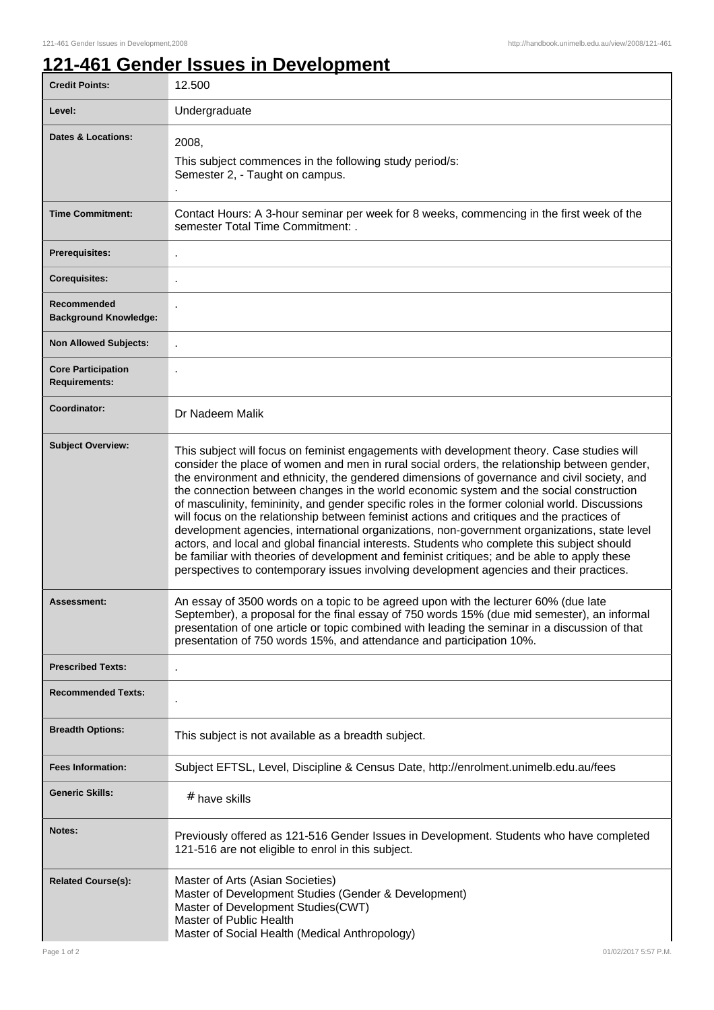## **121-461 Gender Issues in Development**

| <b>Credit Points:</b>                             | 12.500                                                                                                                                                                                                                                                                                                                                                                                                                                                                                                                                                                                                                                                                                                                                                                                                                                                                                                                                                                         |
|---------------------------------------------------|--------------------------------------------------------------------------------------------------------------------------------------------------------------------------------------------------------------------------------------------------------------------------------------------------------------------------------------------------------------------------------------------------------------------------------------------------------------------------------------------------------------------------------------------------------------------------------------------------------------------------------------------------------------------------------------------------------------------------------------------------------------------------------------------------------------------------------------------------------------------------------------------------------------------------------------------------------------------------------|
| Level:                                            | Undergraduate                                                                                                                                                                                                                                                                                                                                                                                                                                                                                                                                                                                                                                                                                                                                                                                                                                                                                                                                                                  |
| <b>Dates &amp; Locations:</b>                     | 2008,<br>This subject commences in the following study period/s:<br>Semester 2, - Taught on campus.                                                                                                                                                                                                                                                                                                                                                                                                                                                                                                                                                                                                                                                                                                                                                                                                                                                                            |
| <b>Time Commitment:</b>                           | Contact Hours: A 3-hour seminar per week for 8 weeks, commencing in the first week of the<br>semester Total Time Commitment: .                                                                                                                                                                                                                                                                                                                                                                                                                                                                                                                                                                                                                                                                                                                                                                                                                                                 |
| <b>Prerequisites:</b>                             |                                                                                                                                                                                                                                                                                                                                                                                                                                                                                                                                                                                                                                                                                                                                                                                                                                                                                                                                                                                |
| <b>Corequisites:</b>                              |                                                                                                                                                                                                                                                                                                                                                                                                                                                                                                                                                                                                                                                                                                                                                                                                                                                                                                                                                                                |
| Recommended<br><b>Background Knowledge:</b>       |                                                                                                                                                                                                                                                                                                                                                                                                                                                                                                                                                                                                                                                                                                                                                                                                                                                                                                                                                                                |
| <b>Non Allowed Subjects:</b>                      |                                                                                                                                                                                                                                                                                                                                                                                                                                                                                                                                                                                                                                                                                                                                                                                                                                                                                                                                                                                |
| <b>Core Participation</b><br><b>Requirements:</b> |                                                                                                                                                                                                                                                                                                                                                                                                                                                                                                                                                                                                                                                                                                                                                                                                                                                                                                                                                                                |
| Coordinator:                                      | Dr Nadeem Malik                                                                                                                                                                                                                                                                                                                                                                                                                                                                                                                                                                                                                                                                                                                                                                                                                                                                                                                                                                |
| <b>Subject Overview:</b>                          | This subject will focus on feminist engagements with development theory. Case studies will<br>consider the place of women and men in rural social orders, the relationship between gender,<br>the environment and ethnicity, the gendered dimensions of governance and civil society, and<br>the connection between changes in the world economic system and the social construction<br>of masculinity, femininity, and gender specific roles in the former colonial world. Discussions<br>will focus on the relationship between feminist actions and critiques and the practices of<br>development agencies, international organizations, non-government organizations, state level<br>actors, and local and global financial interests. Students who complete this subject should<br>be familiar with theories of development and feminist critiques; and be able to apply these<br>perspectives to contemporary issues involving development agencies and their practices. |
| <b>Assessment:</b>                                | An essay of 3500 words on a topic to be agreed upon with the lecturer 60% (due late<br>September), a proposal for the final essay of 750 words 15% (due mid semester), an informal<br>presentation of one article or topic combined with leading the seminar in a discussion of that<br>presentation of 750 words 15%, and attendance and participation 10%.                                                                                                                                                                                                                                                                                                                                                                                                                                                                                                                                                                                                                   |
| <b>Prescribed Texts:</b>                          |                                                                                                                                                                                                                                                                                                                                                                                                                                                                                                                                                                                                                                                                                                                                                                                                                                                                                                                                                                                |
| <b>Recommended Texts:</b>                         |                                                                                                                                                                                                                                                                                                                                                                                                                                                                                                                                                                                                                                                                                                                                                                                                                                                                                                                                                                                |
| <b>Breadth Options:</b>                           | This subject is not available as a breadth subject.                                                                                                                                                                                                                                                                                                                                                                                                                                                                                                                                                                                                                                                                                                                                                                                                                                                                                                                            |
| <b>Fees Information:</b>                          | Subject EFTSL, Level, Discipline & Census Date, http://enrolment.unimelb.edu.au/fees                                                                                                                                                                                                                                                                                                                                                                                                                                                                                                                                                                                                                                                                                                                                                                                                                                                                                           |
| <b>Generic Skills:</b>                            | # have skills                                                                                                                                                                                                                                                                                                                                                                                                                                                                                                                                                                                                                                                                                                                                                                                                                                                                                                                                                                  |
| <b>Notes:</b>                                     | Previously offered as 121-516 Gender Issues in Development. Students who have completed<br>121-516 are not eligible to enrol in this subject.                                                                                                                                                                                                                                                                                                                                                                                                                                                                                                                                                                                                                                                                                                                                                                                                                                  |
| <b>Related Course(s):</b>                         | Master of Arts (Asian Societies)<br>Master of Development Studies (Gender & Development)<br>Master of Development Studies(CWT)<br>Master of Public Health<br>Master of Social Health (Medical Anthropology)                                                                                                                                                                                                                                                                                                                                                                                                                                                                                                                                                                                                                                                                                                                                                                    |